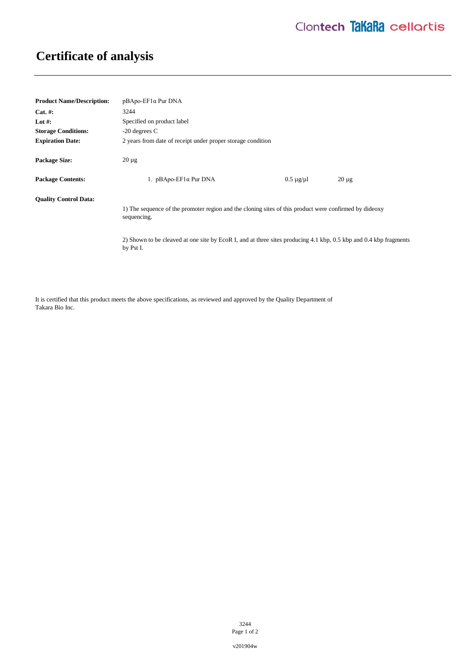## **Certificate of analysis**

| <b>Product Name/Description:</b> | $pBApo-EF1\alpha Pur DNA$                                                                                                      |                      |            |
|----------------------------------|--------------------------------------------------------------------------------------------------------------------------------|----------------------|------------|
| $Cat. \#:$                       | 3244                                                                                                                           |                      |            |
| Lot #:                           | Specified on product label                                                                                                     |                      |            |
| <b>Storage Conditions:</b>       | $-20$ degrees C                                                                                                                |                      |            |
| <b>Expiration Date:</b>          | 2 years from date of receipt under proper storage condition                                                                    |                      |            |
| <b>Package Size:</b>             | $20 \mu$ g                                                                                                                     |                      |            |
| <b>Package Contents:</b>         | 1. $pBApo-EF1\alpha Pur DNA$                                                                                                   | $0.5 \mu$ g/ $\mu$ l | $20 \mu g$ |
| <b>Quality Control Data:</b>     | 1) The sequence of the promoter region and the cloning sites of this product were confirmed by dideoxy<br>sequencing.          |                      |            |
|                                  | 2) Shown to be cleaved at one site by EcoR I, and at three sites producing 4.1 kbp, 0.5 kbp and 0.4 kbp fragments<br>by Pst I. |                      |            |

It is certified that this product meets the above specifications, as reviewed and approved by the Quality Department of Takara Bio Inc.

> 3244 Page 1 of 2

v201904w